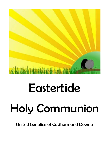

# Eastertide Holy Communion

United benefice of Cudham and Downe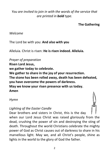# *You are invited to join in with the words of the service that are printed in bold type.*

## **The Gathering**

#### *Welcome*

The Lord be with you: **And also with you**

Alleluia. Christ is risen: **He is risen indeed. Alleluia.**

*Prayer of preparation* **Risen Lord Jesus, we gather today to celebrate. We gather to share in the joy of your resurrection. The stone has been rolled away, death has been defeated, you have overcome the powers of darkness. May we know your risen presence with us today. Amen**

#### *Hymn*

# *Lighting of the Easter Candle*

Dear brothers and sisters in Christ, this is the day when our Lord Jesus Christ was raised gloriously from the dead, crushing the power of sin and destroying the sting of death. Throughout the world Christians celebrate the mighty power of God as Christ causes out of darkness to share in his marvellous light. May we, and all Christ's people, shine as lights in the world to the glory of God the father.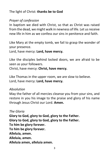## The light of Christ: **thanks be to God**

# *Prayer of confession*

In baptism we died with Christ, so that as Christ was raised from the dead, we might walk in newness of life. Let us receive new life in him as we confess our sins in penitence and faith.

Like Mary at the empty tomb, we fail to grasp the wonder of your presence.

Lord, have mercy: **Lord, have mercy.**

Like the disciples behind locked doors, we are afraid to be seen as your followers. Christ, have mercy: **Christ, have mercy.**

Like Thomas in the upper room, we are slow to believe. Lord, have mercy: **Lord, have mercy.**

#### *Absolution*

May the father of all mercies cleanse you from your sins, and restore in you his image to the praise and glory of his name through Jesus Christ our Lord. **Amen.**

*The Gloria* **Glory to God, glory to God, glory to the Father. Glory to God, glory to God, glory to the Father. To him be glory forever. To him be glory forever. Alleluia, amen. Alleluia, amen. Alleluia amen, alleluia amen.**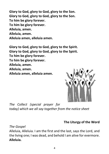**Glory to God, glory to God, glory to the Son. Glory to God, glory to God, glory to the Son. To him be glory forever. To him be glory forever. Alleluia, amen. Alleluia, amen. Alleluia amen, alleluia amen.**

**Glory to God, glory to God, glory to the Spirit. Glory to God, glory to God, glory to the Spirit. To him be glory forever. To him be glory forever. Alleluia, amen. Alleluia, amen. Alleluia amen, alleluia amen.**



*The Collect (special prayer for today) which we all say together from the notice sheet*

## **The Liturgy of the Word**

*The Gospel*

Alleluia, Alleluia. I am the first and the last, says the Lord, and the living one; I was dead, and behold I am alive for evermore. **Alleluia.**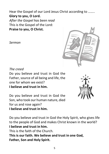Hear the Gospel of our Lord Jesus Christ according to …….. **Glory to you, O Lord.** *After the Gospel has been read* This is the Gospel of the Lord: **Praise to you, O Christ.**

*Sermon*



*The creed*

Do you believe and trust in God the Father, source of all being and life, the one for whom we exist? **I believe and trust in him.**

Do you believe and trust in God the Son, who took our human nature, died for us and rose again? **I believe and trust in him.**

Do you believe and trust in God the Holy Spirit, who gives life to the people of God and makes Christ known in the world? **I believe and trust in him.** This is the faith of the Church. **This is our faith. We believe and trust in one God, Father, Son and Holy Spirit.**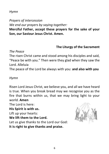## *Hymn*

*Prayers of intercession We end our prayers by saying together:*

**Merciful Father, accept these prayers for the sake of your Son, our Saviour Jesus Christ. Amen.**

## **The Liturgy of the Sacrament**

#### *The Peace*

The risen Christ came and stood among his disciples and said, "Peace be with you." Then were they glad when they saw the Lord. Alleluia

The peace of the Lord be always with you: **and also with you**

## *Hymn*

Risen Lord Jesus Christ, we believe you, and all we have heard is true. When you break bread may we recognise you as the fire that burns within us, that we may bring light to your world. **Amen**

The Lord is here:

**His Spirit is with us.**

Lift up your hearts:

## **We lift them to the Lord.**

Let us give thanks to the Lord our God:

**It is right to give thanks and praise.**

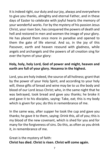It is indeed right, our duty and our joy, always and everywhere to give you thanks, almighty and eternal Father, and in these days of Easter to celebrate with joyful hearts the memory of your wonderful works. For by the mystery of his passion Jesus Christ, your risen Son, has conquered the powers of death and hell and restored in men and women the image of your glory. He has placed them once more in paradise and opened to them the gate of life eternal. And so, in the joy of this Passover, earth and heaven resound with gladness, while angels and archangels and the powers of all creation sing for ever the hymn of your glory:

# **Holy, holy, holy Lord, God of power and might, heaven and earth are full of your glory. Hosanna in the highest.**

Lord, you are holy indeed, the source of all holiness; grant that by the power of your Holy Spirit, and according to your holy will, these gifts of bread and wine may be to us the body and blood of our Lord Jesus Christ; who, in the same night that he was betrayed, took bread and gave you thanks; he broke it and gave it to his disciples, saying: Take, eat; this is my body which is given for you; do this in remembrance of me.

In the same way, after supper he took the cup and gave you thanks; he gave it to them, saying: Drink this, all of you; this is my blood of the new covenant, which is shed for you and for many for the forgiveness of sins. Do this, as often as you drink it, in remembrance of me.

Great is the mystery of faith: **Christ has died. Christ is risen. Christ will come again.**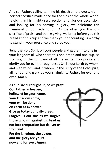And so, Father, calling to mind his death on the cross, his perfect sacrifice made once for the sins of the whole world; rejoicing in his mighty resurrection and glorious ascension, and looking for his coming in glory, we celebrate this memorial of our redemption. As we offer you this our sacrifice of praise and thanksgiving, we bring before you this bread and this cup and we thank you for counting us worthy to stand in your presence and serve you.

Send the Holy Spirit on your people and gather into one in your kingdom all who share this one bread and one cup, so that we, in the company of all the saints, may praise and glorify you for ever, through Jesus Christ our Lord; by whom, and with whom, and in whom, in the unity of the Holy Spirit, all honour and glory be yours, almighty Father, for ever and ever. **Amen.**

As our Saviour taught us, so we pray: **Our Father in heaven, hallowed be your name, your kingdom come, your will be done, on earth as in heaven. Give us today our daily bread. Forgive us our sins as we forgive those who sin against us. Lead us not into temptation but deliver us from evil. For the kingdom, the power, and the glory are yours** 

**now and for ever. Amen.**

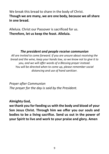We break this bread to share in the body of Christ. **Though we are many, we are one body, because we all share in one bread.**

Alleluia. Christ our Passover is sacrificed for us. **Therefore, let us keep the feast. Alleluia.**

## *The president and people receive communion*

*All are invited to come forward. If you are unsure about receiving the bread and the wine, keep your hands low, so we know not to give it to you, and we will offer words of a Blessing prayer instead. You will be directed when to come up, please remember social distancing and use of hand sanitizer.* 

*Prayer after Communion The prayer for the day is said by the President.*

## **Almighty God,**

**we thank you for feeding us with the body and blood of your Son Jesus Christ. Through him we offer you our souls and bodies to be a living sacrifice. Send us out in the power of your Spirit to live and work to your praise and glory. Amen**